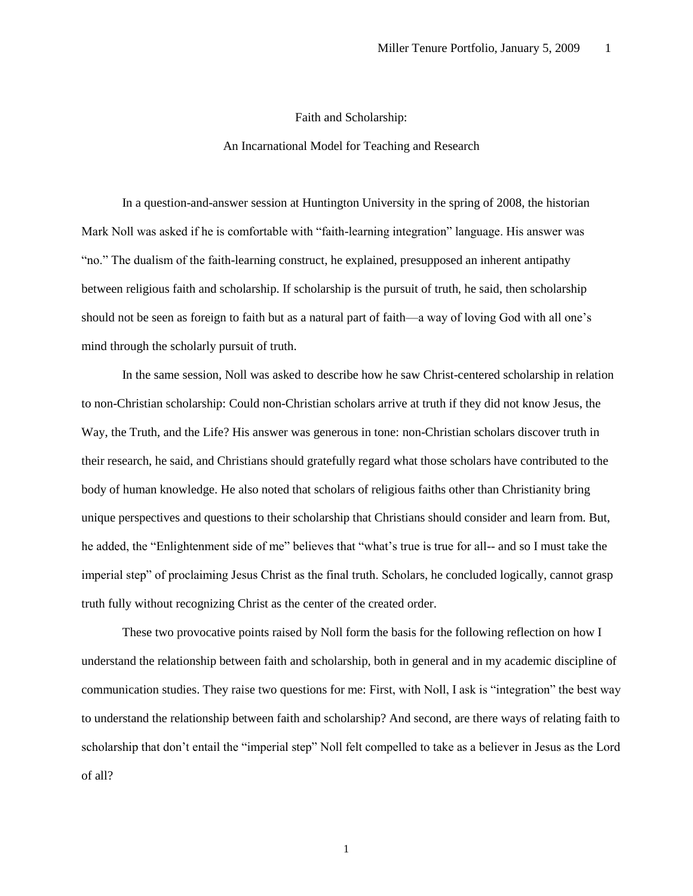## Faith and Scholarship:

## An Incarnational Model for Teaching and Research

In a question-and-answer session at Huntington University in the spring of 2008, the historian Mark Noll was asked if he is comfortable with "faith-learning integration" language. His answer was "no." The dualism of the faith-learning construct, he explained, presupposed an inherent antipathy between religious faith and scholarship. If scholarship is the pursuit of truth, he said, then scholarship should not be seen as foreign to faith but as a natural part of faith—a way of loving God with all one's mind through the scholarly pursuit of truth.

In the same session, Noll was asked to describe how he saw Christ-centered scholarship in relation to non-Christian scholarship: Could non-Christian scholars arrive at truth if they did not know Jesus, the Way, the Truth, and the Life? His answer was generous in tone: non-Christian scholars discover truth in their research, he said, and Christians should gratefully regard what those scholars have contributed to the body of human knowledge. He also noted that scholars of religious faiths other than Christianity bring unique perspectives and questions to their scholarship that Christians should consider and learn from. But, he added, the "Enlightenment side of me" believes that "what's true is true for all-- and so I must take the imperial step" of proclaiming Jesus Christ as the final truth. Scholars, he concluded logically, cannot grasp truth fully without recognizing Christ as the center of the created order.

These two provocative points raised by Noll form the basis for the following reflection on how I understand the relationship between faith and scholarship, both in general and in my academic discipline of communication studies. They raise two questions for me: First, with Noll, I ask is "integration" the best way to understand the relationship between faith and scholarship? And second, are there ways of relating faith to scholarship that don't entail the "imperial step" Noll felt compelled to take as a believer in Jesus as the Lord of all?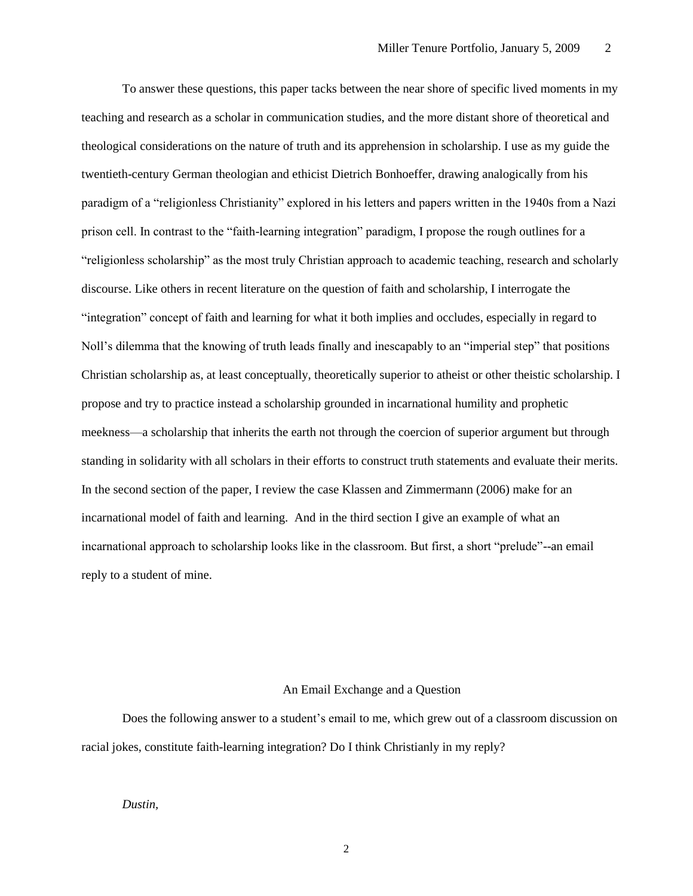To answer these questions, this paper tacks between the near shore of specific lived moments in my teaching and research as a scholar in communication studies, and the more distant shore of theoretical and theological considerations on the nature of truth and its apprehension in scholarship. I use as my guide the twentieth-century German theologian and ethicist Dietrich Bonhoeffer, drawing analogically from his paradigm of a "religionless Christianity" explored in his letters and papers written in the 1940s from a Nazi prison cell. In contrast to the "faith-learning integration" paradigm, I propose the rough outlines for a "religionless scholarship" as the most truly Christian approach to academic teaching, research and scholarly discourse. Like others in recent literature on the question of faith and scholarship, I interrogate the "integration" concept of faith and learning for what it both implies and occludes, especially in regard to Noll's dilemma that the knowing of truth leads finally and inescapably to an "imperial step" that positions Christian scholarship as, at least conceptually, theoretically superior to atheist or other theistic scholarship. I propose and try to practice instead a scholarship grounded in incarnational humility and prophetic meekness—a scholarship that inherits the earth not through the coercion of superior argument but through standing in solidarity with all scholars in their efforts to construct truth statements and evaluate their merits. In the second section of the paper, I review the case Klassen and Zimmermann (2006) make for an incarnational model of faith and learning. And in the third section I give an example of what an incarnational approach to scholarship looks like in the classroom. But first, a short "prelude"--an email reply to a student of mine.

# An Email Exchange and a Question

Does the following answer to a student's email to me, which grew out of a classroom discussion on racial jokes, constitute faith-learning integration? Do I think Christianly in my reply?

## *Dustin,*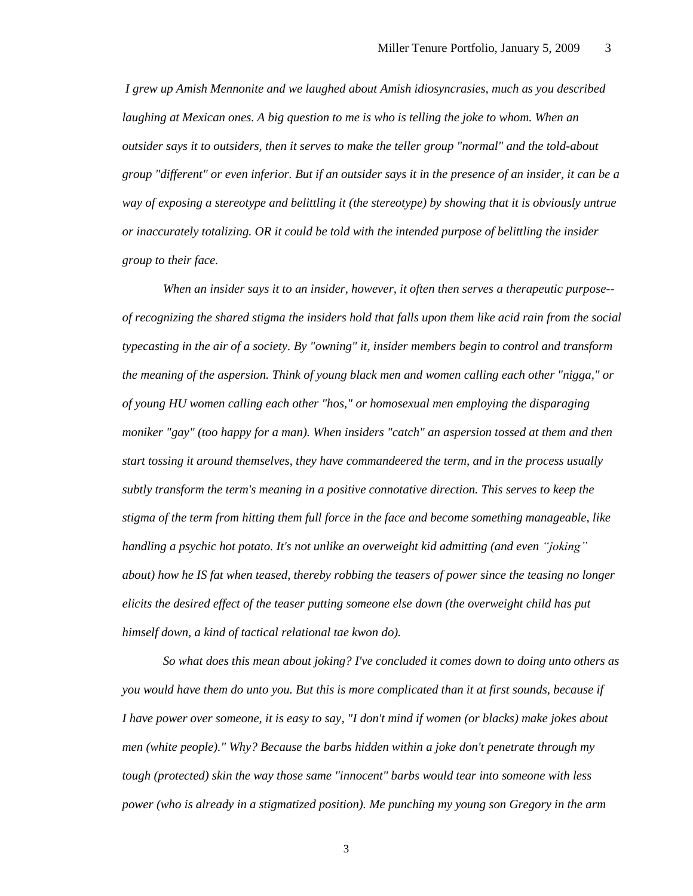*I grew up Amish Mennonite and we laughed about Amish idiosyncrasies, much as you described laughing at Mexican ones. A big question to me is who is telling the joke to whom. When an outsider says it to outsiders, then it serves to make the teller group "normal" and the told-about group "different" or even inferior. But if an outsider says it in the presence of an insider, it can be a way of exposing a stereotype and belittling it (the stereotype) by showing that it is obviously untrue or inaccurately totalizing. OR it could be told with the intended purpose of belittling the insider group to their face.*

*When an insider says it to an insider, however, it often then serves a therapeutic purpose- of recognizing the shared stigma the insiders hold that falls upon them like acid rain from the social typecasting in the air of a society. By "owning" it, insider members begin to control and transform the meaning of the aspersion. Think of young black men and women calling each other "nigga," or of young HU women calling each other "hos," or homosexual men employing the disparaging moniker "gay" (too happy for a man). When insiders "catch" an aspersion tossed at them and then start tossing it around themselves, they have commandeered the term, and in the process usually subtly transform the term's meaning in a positive connotative direction. This serves to keep the stigma of the term from hitting them full force in the face and become something manageable, like handling a psychic hot potato. It's not unlike an overweight kid admitting (and even "joking" about) how he IS fat when teased, thereby robbing the teasers of power since the teasing no longer elicits the desired effect of the teaser putting someone else down (the overweight child has put himself down, a kind of tactical relational tae kwon do).*

*So what does this mean about joking? I've concluded it comes down to doing unto others as you would have them do unto you. But this is more complicated than it at first sounds, because if I have power over someone, it is easy to say, "I don't mind if women (or blacks) make jokes about men (white people)." Why? Because the barbs hidden within a joke don't penetrate through my tough (protected) skin the way those same "innocent" barbs would tear into someone with less power (who is already in a stigmatized position). Me punching my young son Gregory in the arm*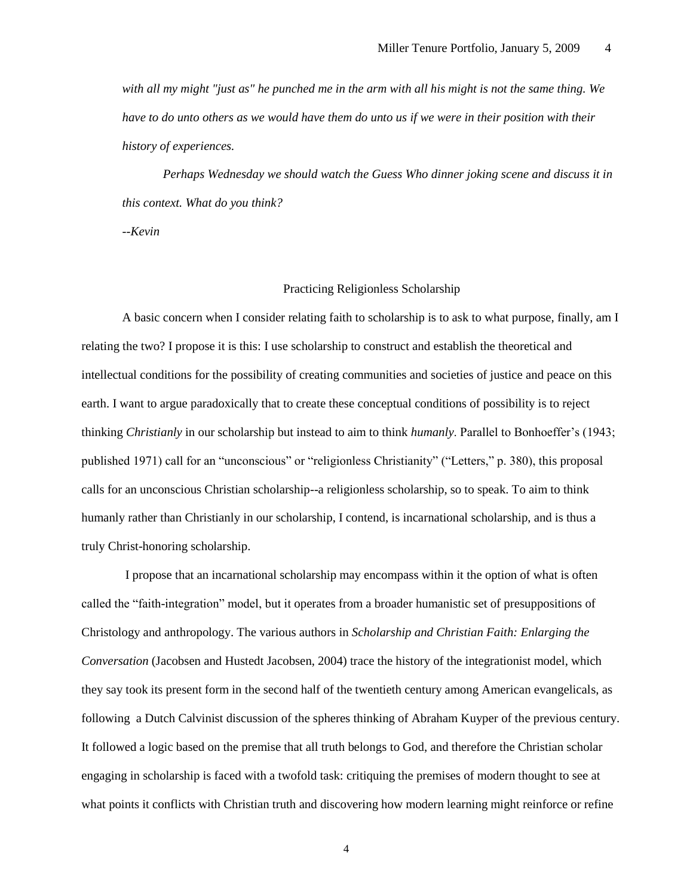*with all my might "just as" he punched me in the arm with all his might is not the same thing. We have to do unto others as we would have them do unto us if we were in their position with their history of experiences.*

*Perhaps Wednesday we should watch the Guess Who dinner joking scene and discuss it in this context. What do you think?*

*--Kevin*

## Practicing Religionless Scholarship

A basic concern when I consider relating faith to scholarship is to ask to what purpose, finally, am I relating the two? I propose it is this: I use scholarship to construct and establish the theoretical and intellectual conditions for the possibility of creating communities and societies of justice and peace on this earth. I want to argue paradoxically that to create these conceptual conditions of possibility is to reject thinking *Christianly* in our scholarship but instead to aim to think *humanly*. Parallel to Bonhoeffer's (1943; published 1971) call for an "unconscious" or "religionless Christianity" ("Letters," p. 380), this proposal calls for an unconscious Christian scholarship--a religionless scholarship, so to speak. To aim to think humanly rather than Christianly in our scholarship, I contend, is incarnational scholarship, and is thus a truly Christ-honoring scholarship.

I propose that an incarnational scholarship may encompass within it the option of what is often called the "faith-integration" model, but it operates from a broader humanistic set of presuppositions of Christology and anthropology. The various authors in *Scholarship and Christian Faith: Enlarging the Conversation* (Jacobsen and Hustedt Jacobsen, 2004) trace the history of the integrationist model, which they say took its present form in the second half of the twentieth century among American evangelicals, as following a Dutch Calvinist discussion of the spheres thinking of Abraham Kuyper of the previous century. It followed a logic based on the premise that all truth belongs to God, and therefore the Christian scholar engaging in scholarship is faced with a twofold task: critiquing the premises of modern thought to see at what points it conflicts with Christian truth and discovering how modern learning might reinforce or refine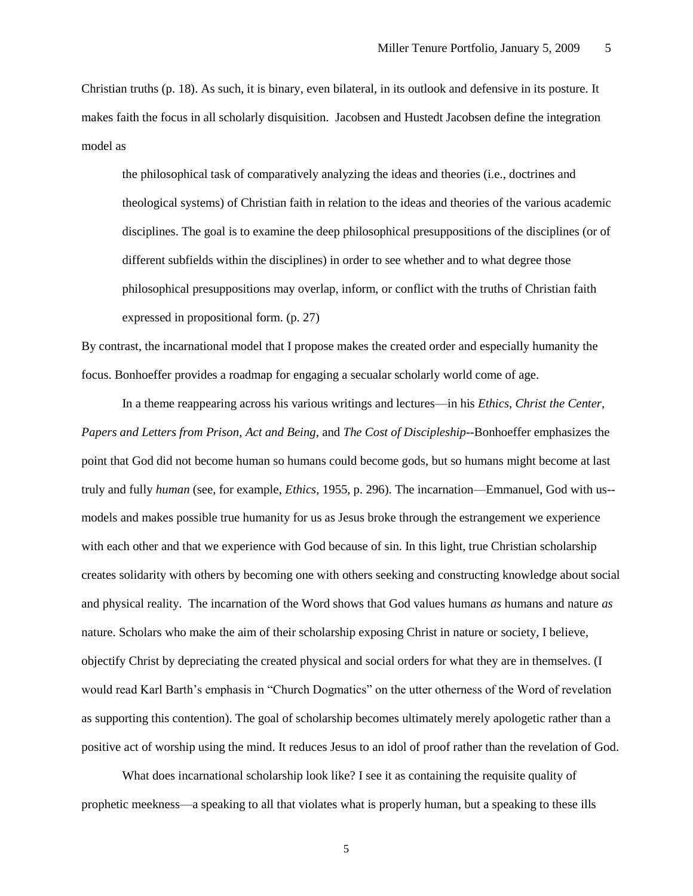Christian truths (p. 18). As such, it is binary, even bilateral, in its outlook and defensive in its posture. It makes faith the focus in all scholarly disquisition. Jacobsen and Hustedt Jacobsen define the integration model as

the philosophical task of comparatively analyzing the ideas and theories (i.e., doctrines and theological systems) of Christian faith in relation to the ideas and theories of the various academic disciplines. The goal is to examine the deep philosophical presuppositions of the disciplines (or of different subfields within the disciplines) in order to see whether and to what degree those philosophical presuppositions may overlap, inform, or conflict with the truths of Christian faith expressed in propositional form. (p. 27)

By contrast, the incarnational model that I propose makes the created order and especially humanity the focus. Bonhoeffer provides a roadmap for engaging a secualar scholarly world come of age.

In a theme reappearing across his various writings and lectures—in his *Ethics, Christ the Center, Papers and Letters from Prison, Act and Being,* and *The Cost of Discipleship--*Bonhoeffer emphasizes the point that God did not become human so humans could become gods, but so humans might become at last truly and fully *human* (see, for example, *Ethics,* 1955, p. 296)*.* The incarnation—Emmanuel, God with us- models and makes possible true humanity for us as Jesus broke through the estrangement we experience with each other and that we experience with God because of sin. In this light, true Christian scholarship creates solidarity with others by becoming one with others seeking and constructing knowledge about social and physical reality. The incarnation of the Word shows that God values humans *as* humans and nature *as*  nature. Scholars who make the aim of their scholarship exposing Christ in nature or society, I believe, objectify Christ by depreciating the created physical and social orders for what they are in themselves. (I would read Karl Barth's emphasis in "Church Dogmatics" on the utter otherness of the Word of revelation as supporting this contention). The goal of scholarship becomes ultimately merely apologetic rather than a positive act of worship using the mind. It reduces Jesus to an idol of proof rather than the revelation of God.

What does incarnational scholarship look like? I see it as containing the requisite quality of prophetic meekness—a speaking to all that violates what is properly human, but a speaking to these ills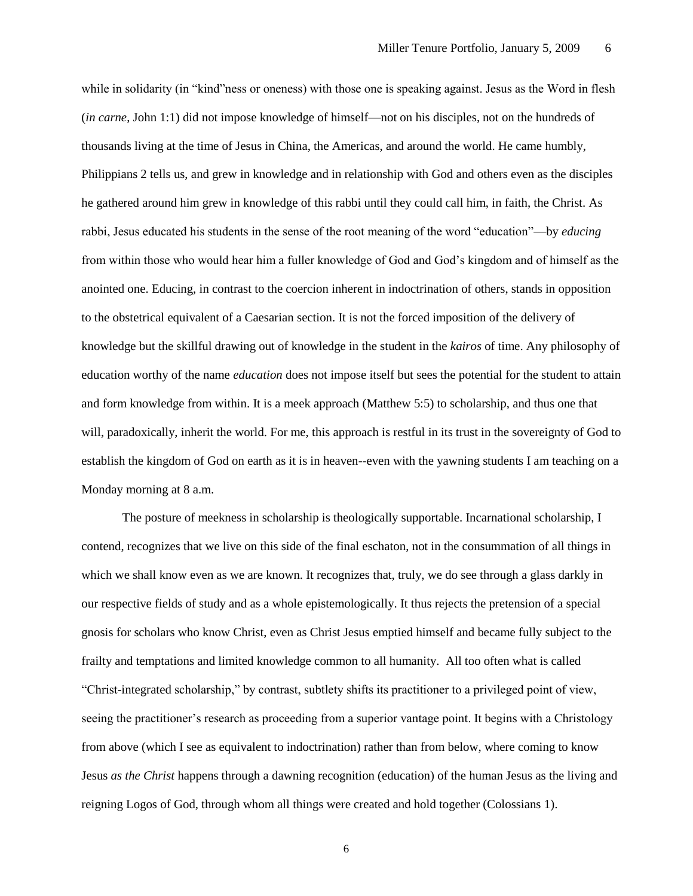while in solidarity (in "kind"ness or oneness) with those one is speaking against. Jesus as the Word in flesh (*in carne*, John 1:1) did not impose knowledge of himself—not on his disciples, not on the hundreds of thousands living at the time of Jesus in China, the Americas, and around the world. He came humbly, Philippians 2 tells us, and grew in knowledge and in relationship with God and others even as the disciples he gathered around him grew in knowledge of this rabbi until they could call him, in faith, the Christ. As rabbi, Jesus educated his students in the sense of the root meaning of the word "education"—by *educing* from within those who would hear him a fuller knowledge of God and God's kingdom and of himself as the anointed one. Educing, in contrast to the coercion inherent in indoctrination of others, stands in opposition to the obstetrical equivalent of a Caesarian section. It is not the forced imposition of the delivery of knowledge but the skillful drawing out of knowledge in the student in the *kairos* of time. Any philosophy of education worthy of the name *education* does not impose itself but sees the potential for the student to attain and form knowledge from within. It is a meek approach (Matthew 5:5) to scholarship, and thus one that will, paradoxically, inherit the world. For me, this approach is restful in its trust in the sovereignty of God to establish the kingdom of God on earth as it is in heaven--even with the yawning students I am teaching on a Monday morning at 8 a.m.

The posture of meekness in scholarship is theologically supportable. Incarnational scholarship, I contend, recognizes that we live on this side of the final eschaton, not in the consummation of all things in which we shall know even as we are known. It recognizes that, truly, we do see through a glass darkly in our respective fields of study and as a whole epistemologically. It thus rejects the pretension of a special gnosis for scholars who know Christ, even as Christ Jesus emptied himself and became fully subject to the frailty and temptations and limited knowledge common to all humanity. All too often what is called "Christ-integrated scholarship," by contrast, subtlety shifts its practitioner to a privileged point of view, seeing the practitioner's research as proceeding from a superior vantage point. It begins with a Christology from above (which I see as equivalent to indoctrination) rather than from below, where coming to know Jesus *as the Christ* happens through a dawning recognition (education) of the human Jesus as the living and reigning Logos of God, through whom all things were created and hold together (Colossians 1).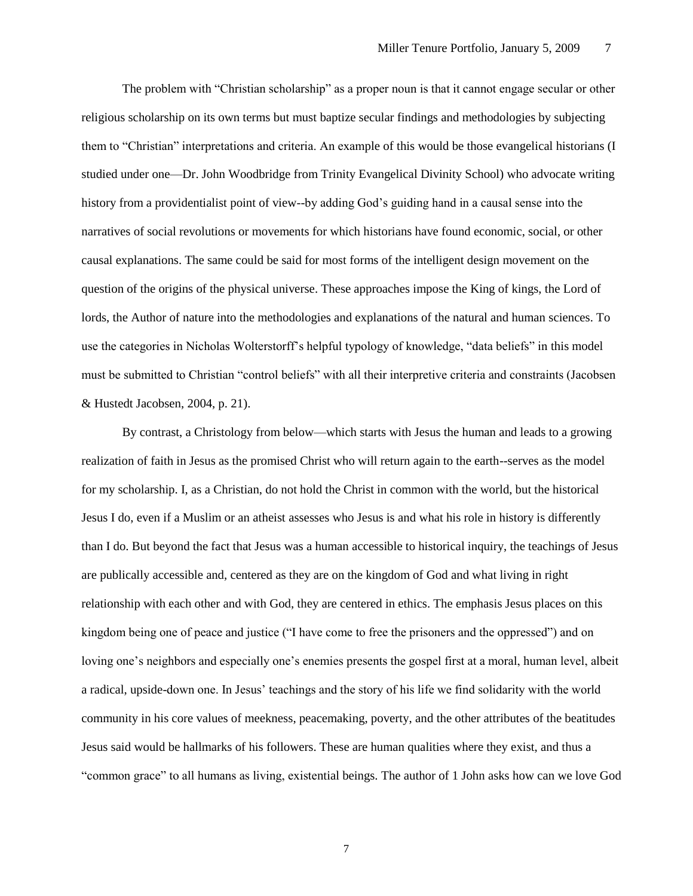The problem with "Christian scholarship" as a proper noun is that it cannot engage secular or other religious scholarship on its own terms but must baptize secular findings and methodologies by subjecting them to "Christian" interpretations and criteria. An example of this would be those evangelical historians (I studied under one—Dr. John Woodbridge from Trinity Evangelical Divinity School) who advocate writing history from a providentialist point of view--by adding God's guiding hand in a causal sense into the narratives of social revolutions or movements for which historians have found economic, social, or other causal explanations. The same could be said for most forms of the intelligent design movement on the question of the origins of the physical universe. These approaches impose the King of kings, the Lord of lords, the Author of nature into the methodologies and explanations of the natural and human sciences. To use the categories in Nicholas Wolterstorff's helpful typology of knowledge, "data beliefs" in this model must be submitted to Christian "control beliefs" with all their interpretive criteria and constraints (Jacobsen & Hustedt Jacobsen, 2004, p. 21).

By contrast, a Christology from below—which starts with Jesus the human and leads to a growing realization of faith in Jesus as the promised Christ who will return again to the earth--serves as the model for my scholarship. I, as a Christian, do not hold the Christ in common with the world, but the historical Jesus I do, even if a Muslim or an atheist assesses who Jesus is and what his role in history is differently than I do. But beyond the fact that Jesus was a human accessible to historical inquiry, the teachings of Jesus are publically accessible and, centered as they are on the kingdom of God and what living in right relationship with each other and with God, they are centered in ethics. The emphasis Jesus places on this kingdom being one of peace and justice ("I have come to free the prisoners and the oppressed") and on loving one's neighbors and especially one's enemies presents the gospel first at a moral, human level, albeit a radical, upside-down one. In Jesus' teachings and the story of his life we find solidarity with the world community in his core values of meekness, peacemaking, poverty, and the other attributes of the beatitudes Jesus said would be hallmarks of his followers. These are human qualities where they exist, and thus a "common grace" to all humans as living, existential beings. The author of 1 John asks how can we love God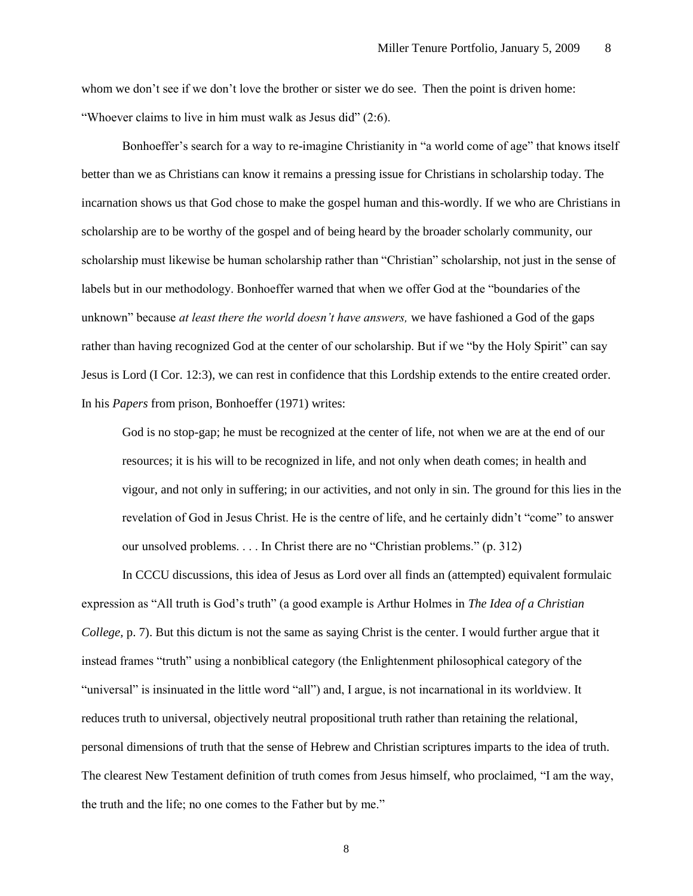whom we don't see if we don't love the brother or sister we do see. Then the point is driven home: "Whoever claims to live in him must walk as Jesus did" (2:6).

Bonhoeffer's search for a way to re-imagine Christianity in "a world come of age" that knows itself better than we as Christians can know it remains a pressing issue for Christians in scholarship today. The incarnation shows us that God chose to make the gospel human and this-wordly. If we who are Christians in scholarship are to be worthy of the gospel and of being heard by the broader scholarly community, our scholarship must likewise be human scholarship rather than "Christian" scholarship, not just in the sense of labels but in our methodology. Bonhoeffer warned that when we offer God at the "boundaries of the unknown" because *at least there the world doesn't have answers,* we have fashioned a God of the gaps rather than having recognized God at the center of our scholarship. But if we "by the Holy Spirit" can say Jesus is Lord (I Cor. 12:3), we can rest in confidence that this Lordship extends to the entire created order. In his *Papers* from prison, Bonhoeffer (1971) writes:

God is no stop-gap; he must be recognized at the center of life, not when we are at the end of our resources; it is his will to be recognized in life, and not only when death comes; in health and vigour, and not only in suffering; in our activities, and not only in sin. The ground for this lies in the revelation of God in Jesus Christ. He is the centre of life, and he certainly didn't "come" to answer our unsolved problems. . . . In Christ there are no "Christian problems." (p. 312)

In CCCU discussions, this idea of Jesus as Lord over all finds an (attempted) equivalent formulaic expression as "All truth is God's truth" (a good example is Arthur Holmes in *The Idea of a Christian College,* p. 7). But this dictum is not the same as saying Christ is the center. I would further argue that it instead frames "truth" using a nonbiblical category (the Enlightenment philosophical category of the "universal" is insinuated in the little word "all") and, I argue, is not incarnational in its worldview. It reduces truth to universal, objectively neutral propositional truth rather than retaining the relational, personal dimensions of truth that the sense of Hebrew and Christian scriptures imparts to the idea of truth. The clearest New Testament definition of truth comes from Jesus himself, who proclaimed, "I am the way, the truth and the life; no one comes to the Father but by me."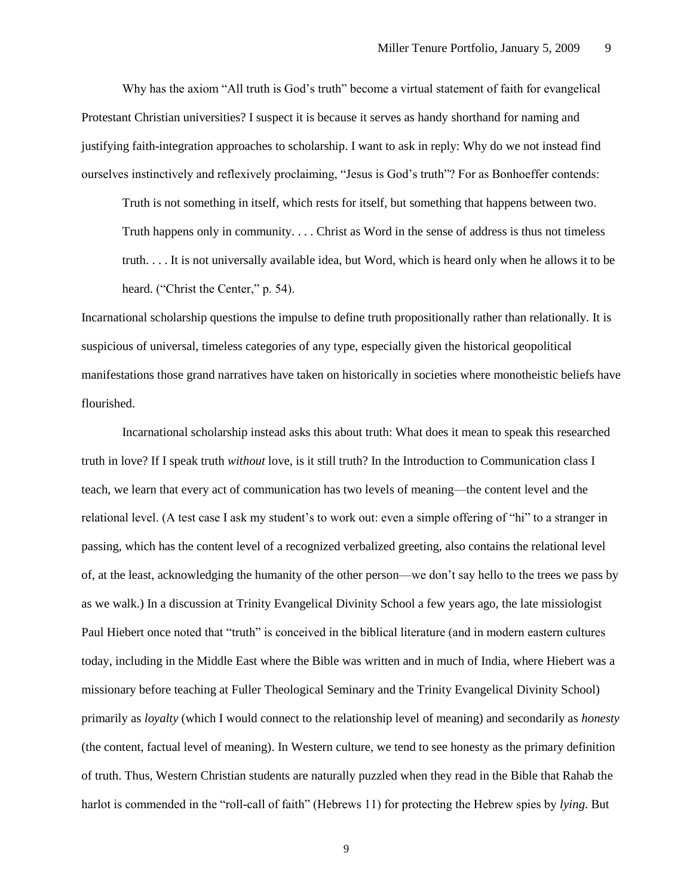Why has the axiom "All truth is God's truth" become a virtual statement of faith for evangelical Protestant Christian universities? I suspect it is because it serves as handy shorthand for naming and justifying faith-integration approaches to scholarship. I want to ask in reply: Why do we not instead find ourselves instinctively and reflexively proclaiming, "Jesus is God's truth"? For as Bonhoeffer contends:

Truth is not something in itself, which rests for itself, but something that happens between two. Truth happens only in community. . . . Christ as Word in the sense of address is thus not timeless truth. . . . It is not universally available idea, but Word, which is heard only when he allows it to be heard. ("Christ the Center," p. 54).

Incarnational scholarship questions the impulse to define truth propositionally rather than relationally. It is suspicious of universal, timeless categories of any type, especially given the historical geopolitical manifestations those grand narratives have taken on historically in societies where monotheistic beliefs have flourished.

Incarnational scholarship instead asks this about truth: What does it mean to speak this researched truth in love? If I speak truth *without* love, is it still truth? In the Introduction to Communication class I teach, we learn that every act of communication has two levels of meaning—the content level and the relational level. (A test case I ask my student's to work out: even a simple offering of "hi" to a stranger in passing, which has the content level of a recognized verbalized greeting, also contains the relational level of, at the least, acknowledging the humanity of the other person—we don't say hello to the trees we pass by as we walk.) In a discussion at Trinity Evangelical Divinity School a few years ago, the late missiologist Paul Hiebert once noted that "truth" is conceived in the biblical literature (and in modern eastern cultures today, including in the Middle East where the Bible was written and in much of India, where Hiebert was a missionary before teaching at Fuller Theological Seminary and the Trinity Evangelical Divinity School) primarily as *loyalty* (which I would connect to the relationship level of meaning) and secondarily as *honesty*  (the content, factual level of meaning). In Western culture, we tend to see honesty as the primary definition of truth. Thus, Western Christian students are naturally puzzled when they read in the Bible that Rahab the harlot is commended in the "roll-call of faith" (Hebrews 11) for protecting the Hebrew spies by *lying*. But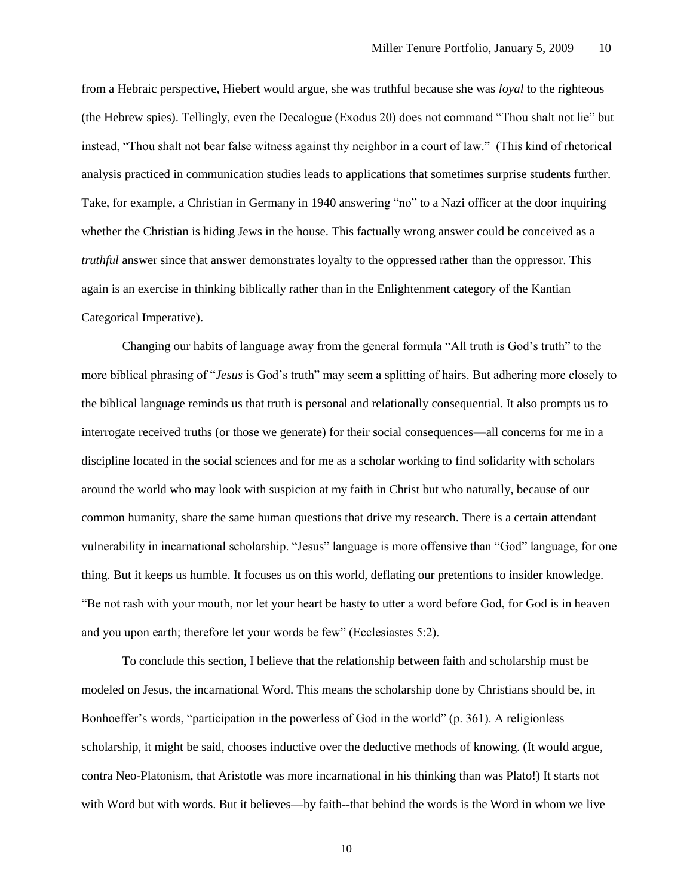from a Hebraic perspective, Hiebert would argue, she was truthful because she was *loyal* to the righteous (the Hebrew spies). Tellingly, even the Decalogue (Exodus 20) does not command "Thou shalt not lie" but instead, "Thou shalt not bear false witness against thy neighbor in a court of law." (This kind of rhetorical analysis practiced in communication studies leads to applications that sometimes surprise students further. Take, for example, a Christian in Germany in 1940 answering "no" to a Nazi officer at the door inquiring whether the Christian is hiding Jews in the house. This factually wrong answer could be conceived as a *truthful* answer since that answer demonstrates loyalty to the oppressed rather than the oppressor. This again is an exercise in thinking biblically rather than in the Enlightenment category of the Kantian Categorical Imperative).

Changing our habits of language away from the general formula "All truth is God's truth" to the more biblical phrasing of "*Jesus* is God's truth" may seem a splitting of hairs. But adhering more closely to the biblical language reminds us that truth is personal and relationally consequential. It also prompts us to interrogate received truths (or those we generate) for their social consequences—all concerns for me in a discipline located in the social sciences and for me as a scholar working to find solidarity with scholars around the world who may look with suspicion at my faith in Christ but who naturally, because of our common humanity, share the same human questions that drive my research. There is a certain attendant vulnerability in incarnational scholarship. "Jesus" language is more offensive than "God" language, for one thing. But it keeps us humble. It focuses us on this world, deflating our pretentions to insider knowledge. "Be not rash with your mouth, nor let your heart be hasty to utter a word before God, for God is in heaven and you upon earth; therefore let your words be few" (Ecclesiastes 5:2).

To conclude this section, I believe that the relationship between faith and scholarship must be modeled on Jesus, the incarnational Word. This means the scholarship done by Christians should be, in Bonhoeffer's words, "participation in the powerless of God in the world" (p. 361). A religionless scholarship, it might be said, chooses inductive over the deductive methods of knowing. (It would argue, contra Neo-Platonism, that Aristotle was more incarnational in his thinking than was Plato!) It starts not with Word but with words. But it believes—by faith--that behind the words is the Word in whom we live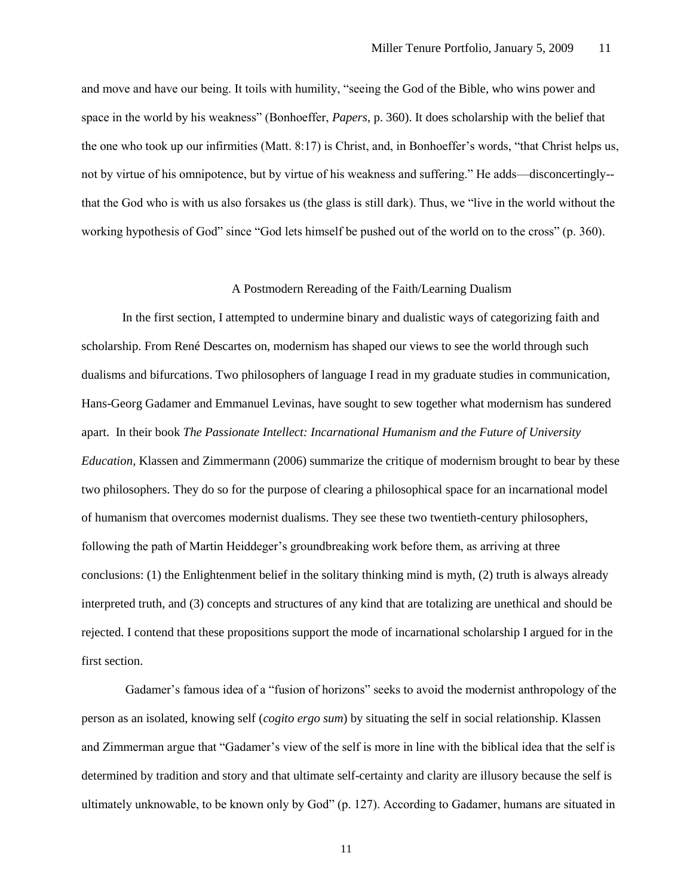and move and have our being. It toils with humility, "seeing the God of the Bible, who wins power and space in the world by his weakness" (Bonhoeffer, *Papers*, p. 360). It does scholarship with the belief that the one who took up our infirmities (Matt. 8:17) is Christ, and, in Bonhoeffer's words, "that Christ helps us, not by virtue of his omnipotence, but by virtue of his weakness and suffering." He adds—disconcertingly- that the God who is with us also forsakes us (the glass is still dark). Thus, we "live in the world without the working hypothesis of God" since "God lets himself be pushed out of the world on to the cross" (p. 360).

## A Postmodern Rereading of the Faith/Learning Dualism

In the first section, I attempted to undermine binary and dualistic ways of categorizing faith and scholarship. From René Descartes on, modernism has shaped our views to see the world through such dualisms and bifurcations. Two philosophers of language I read in my graduate studies in communication, Hans-Georg Gadamer and Emmanuel Levinas, have sought to sew together what modernism has sundered apart. In their book *The Passionate Intellect: Incarnational Humanism and the Future of University Education,* Klassen and Zimmermann (2006) summarize the critique of modernism brought to bear by these two philosophers. They do so for the purpose of clearing a philosophical space for an incarnational model of humanism that overcomes modernist dualisms. They see these two twentieth-century philosophers, following the path of Martin Heiddeger's groundbreaking work before them, as arriving at three conclusions: (1) the Enlightenment belief in the solitary thinking mind is myth, (2) truth is always already interpreted truth, and (3) concepts and structures of any kind that are totalizing are unethical and should be rejected. I contend that these propositions support the mode of incarnational scholarship I argued for in the first section.

Gadamer's famous idea of a "fusion of horizons" seeks to avoid the modernist anthropology of the person as an isolated, knowing self (*cogito ergo sum*) by situating the self in social relationship. Klassen and Zimmerman argue that "Gadamer's view of the self is more in line with the biblical idea that the self is determined by tradition and story and that ultimate self-certainty and clarity are illusory because the self is ultimately unknowable, to be known only by God" (p. 127). According to Gadamer, humans are situated in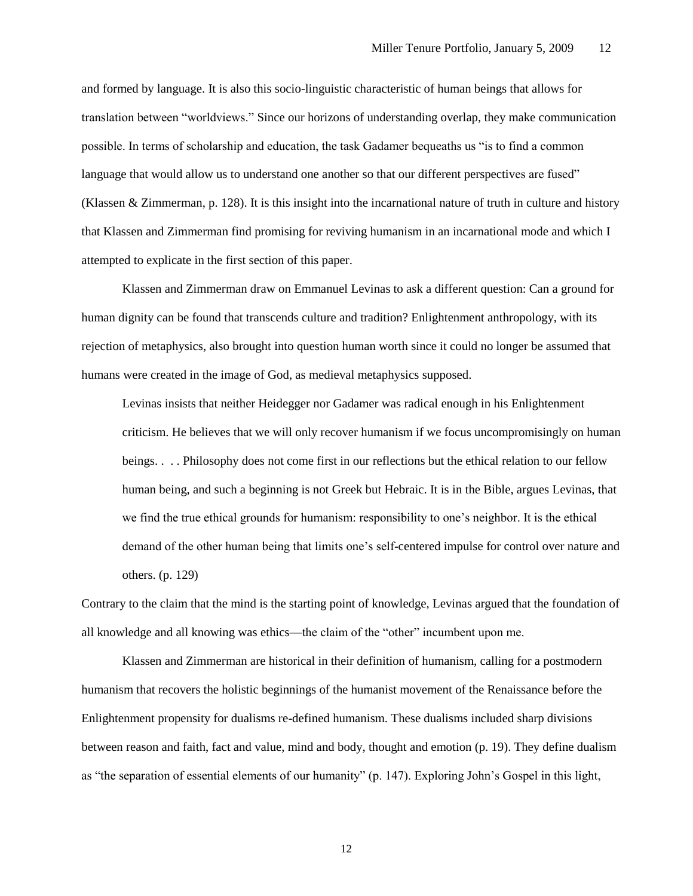and formed by language. It is also this socio-linguistic characteristic of human beings that allows for translation between "worldviews." Since our horizons of understanding overlap, they make communication possible. In terms of scholarship and education, the task Gadamer bequeaths us "is to find a common language that would allow us to understand one another so that our different perspectives are fused" (Klassen & Zimmerman, p. 128). It is this insight into the incarnational nature of truth in culture and history that Klassen and Zimmerman find promising for reviving humanism in an incarnational mode and which I attempted to explicate in the first section of this paper.

Klassen and Zimmerman draw on Emmanuel Levinas to ask a different question: Can a ground for human dignity can be found that transcends culture and tradition? Enlightenment anthropology, with its rejection of metaphysics, also brought into question human worth since it could no longer be assumed that humans were created in the image of God, as medieval metaphysics supposed.

Levinas insists that neither Heidegger nor Gadamer was radical enough in his Enlightenment criticism. He believes that we will only recover humanism if we focus uncompromisingly on human beings. . . . Philosophy does not come first in our reflections but the ethical relation to our fellow human being, and such a beginning is not Greek but Hebraic. It is in the Bible, argues Levinas, that we find the true ethical grounds for humanism: responsibility to one's neighbor. It is the ethical demand of the other human being that limits one's self-centered impulse for control over nature and others. (p. 129)

Contrary to the claim that the mind is the starting point of knowledge, Levinas argued that the foundation of all knowledge and all knowing was ethics—the claim of the "other" incumbent upon me.

Klassen and Zimmerman are historical in their definition of humanism, calling for a postmodern humanism that recovers the holistic beginnings of the humanist movement of the Renaissance before the Enlightenment propensity for dualisms re-defined humanism. These dualisms included sharp divisions between reason and faith, fact and value, mind and body, thought and emotion (p. 19). They define dualism as "the separation of essential elements of our humanity" (p. 147). Exploring John's Gospel in this light,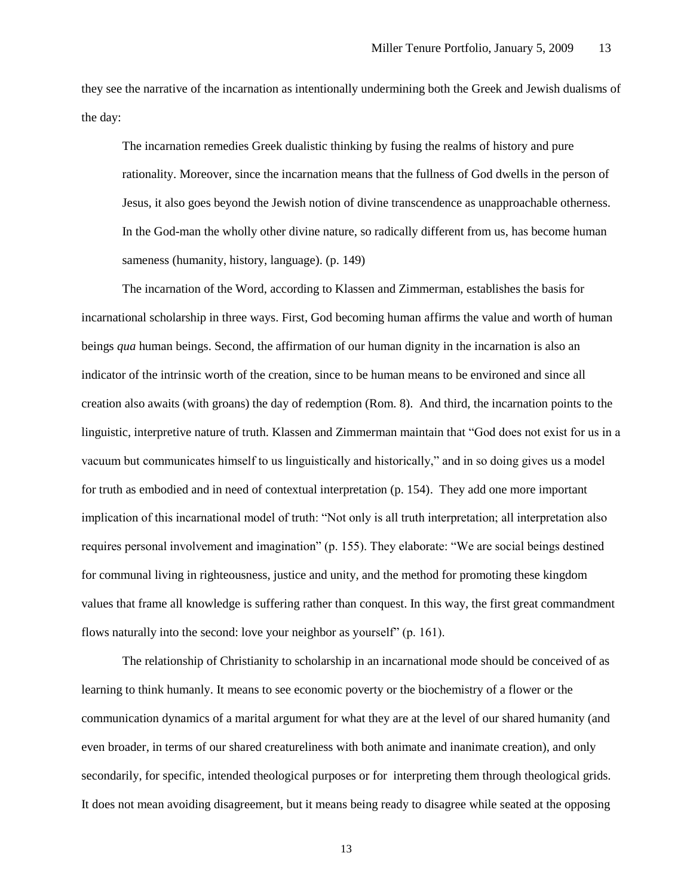they see the narrative of the incarnation as intentionally undermining both the Greek and Jewish dualisms of the day:

The incarnation remedies Greek dualistic thinking by fusing the realms of history and pure rationality. Moreover, since the incarnation means that the fullness of God dwells in the person of Jesus, it also goes beyond the Jewish notion of divine transcendence as unapproachable otherness. In the God-man the wholly other divine nature, so radically different from us, has become human sameness (humanity, history, language). (p. 149)

The incarnation of the Word, according to Klassen and Zimmerman, establishes the basis for incarnational scholarship in three ways. First, God becoming human affirms the value and worth of human beings *qua* human beings. Second, the affirmation of our human dignity in the incarnation is also an indicator of the intrinsic worth of the creation, since to be human means to be environed and since all creation also awaits (with groans) the day of redemption (Rom. 8). And third, the incarnation points to the linguistic, interpretive nature of truth. Klassen and Zimmerman maintain that "God does not exist for us in a vacuum but communicates himself to us linguistically and historically," and in so doing gives us a model for truth as embodied and in need of contextual interpretation (p. 154). They add one more important implication of this incarnational model of truth: "Not only is all truth interpretation; all interpretation also requires personal involvement and imagination" (p. 155). They elaborate: "We are social beings destined for communal living in righteousness, justice and unity, and the method for promoting these kingdom values that frame all knowledge is suffering rather than conquest. In this way, the first great commandment flows naturally into the second: love your neighbor as yourself" (p. 161).

The relationship of Christianity to scholarship in an incarnational mode should be conceived of as learning to think humanly. It means to see economic poverty or the biochemistry of a flower or the communication dynamics of a marital argument for what they are at the level of our shared humanity (and even broader, in terms of our shared creatureliness with both animate and inanimate creation), and only secondarily, for specific, intended theological purposes or for interpreting them through theological grids. It does not mean avoiding disagreement, but it means being ready to disagree while seated at the opposing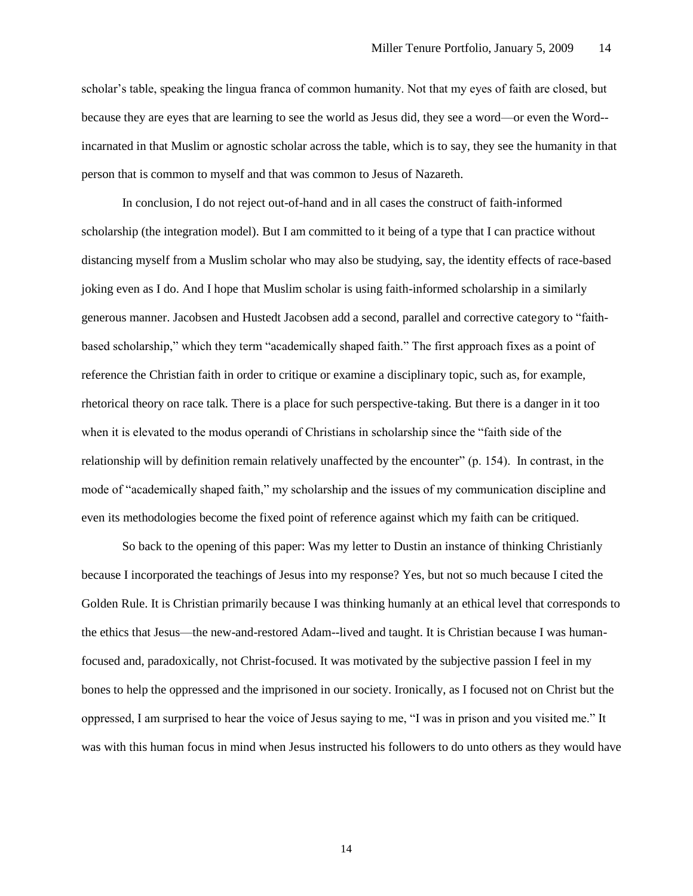scholar's table, speaking the lingua franca of common humanity. Not that my eyes of faith are closed, but because they are eyes that are learning to see the world as Jesus did, they see a word—or even the Word- incarnated in that Muslim or agnostic scholar across the table, which is to say, they see the humanity in that person that is common to myself and that was common to Jesus of Nazareth.

In conclusion, I do not reject out-of-hand and in all cases the construct of faith-informed scholarship (the integration model). But I am committed to it being of a type that I can practice without distancing myself from a Muslim scholar who may also be studying, say, the identity effects of race-based joking even as I do. And I hope that Muslim scholar is using faith-informed scholarship in a similarly generous manner. Jacobsen and Hustedt Jacobsen add a second, parallel and corrective category to "faithbased scholarship," which they term "academically shaped faith." The first approach fixes as a point of reference the Christian faith in order to critique or examine a disciplinary topic, such as, for example, rhetorical theory on race talk. There is a place for such perspective-taking. But there is a danger in it too when it is elevated to the modus operandi of Christians in scholarship since the "faith side of the relationship will by definition remain relatively unaffected by the encounter" (p. 154). In contrast, in the mode of "academically shaped faith," my scholarship and the issues of my communication discipline and even its methodologies become the fixed point of reference against which my faith can be critiqued.

So back to the opening of this paper: Was my letter to Dustin an instance of thinking Christianly because I incorporated the teachings of Jesus into my response? Yes, but not so much because I cited the Golden Rule. It is Christian primarily because I was thinking humanly at an ethical level that corresponds to the ethics that Jesus—the new-and-restored Adam--lived and taught. It is Christian because I was humanfocused and, paradoxically, not Christ-focused. It was motivated by the subjective passion I feel in my bones to help the oppressed and the imprisoned in our society. Ironically, as I focused not on Christ but the oppressed, I am surprised to hear the voice of Jesus saying to me, "I was in prison and you visited me." It was with this human focus in mind when Jesus instructed his followers to do unto others as they would have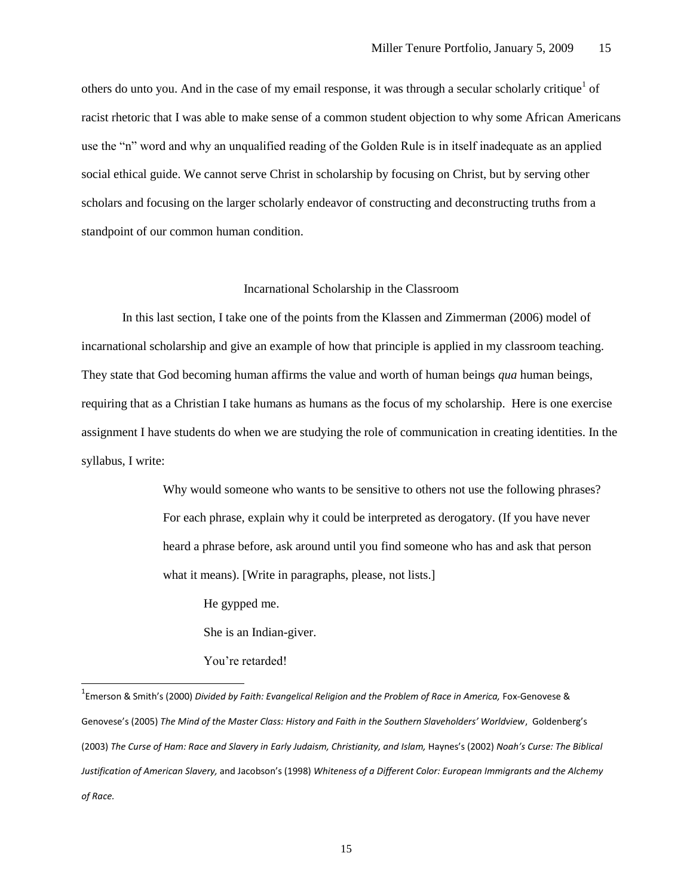others do unto you. And in the case of my email response, it was through a secular scholarly critique<sup>1</sup> of racist rhetoric that I was able to make sense of a common student objection to why some African Americans use the "n" word and why an unqualified reading of the Golden Rule is in itself inadequate as an applied social ethical guide. We cannot serve Christ in scholarship by focusing on Christ, but by serving other scholars and focusing on the larger scholarly endeavor of constructing and deconstructing truths from a standpoint of our common human condition.

## Incarnational Scholarship in the Classroom

In this last section, I take one of the points from the Klassen and Zimmerman (2006) model of incarnational scholarship and give an example of how that principle is applied in my classroom teaching. They state that God becoming human affirms the value and worth of human beings *qua* human beings, requiring that as a Christian I take humans as humans as the focus of my scholarship. Here is one exercise assignment I have students do when we are studying the role of communication in creating identities. In the syllabus, I write:

> Why would someone who wants to be sensitive to others not use the following phrases? For each phrase, explain why it could be interpreted as derogatory. (If you have never heard a phrase before, ask around until you find someone who has and ask that person what it means). [Write in paragraphs, please, not lists.]

He gypped me.

She is an Indian-giver.

You're retarded!

 $\overline{a}$ 

<sup>&</sup>lt;sup>1</sup>Emerson & Smith's (2000) *Divided by Faith: Evangelical Religion and the Problem of Race in America, Fox-Genovese &* Genovese's (2005) *The Mind of the Master Class: History and Faith in the Southern Slaveholders' Worldview*, Goldenberg's (2003) *The Curse of Ham: Race and Slavery in Early Judaism, Christianity, and Islam,* Haynes's (2002) *Noah's Curse: The Biblical Justification of American Slavery,* and Jacobson's (1998) *Whiteness of a Different Color: European Immigrants and the Alchemy of Race.*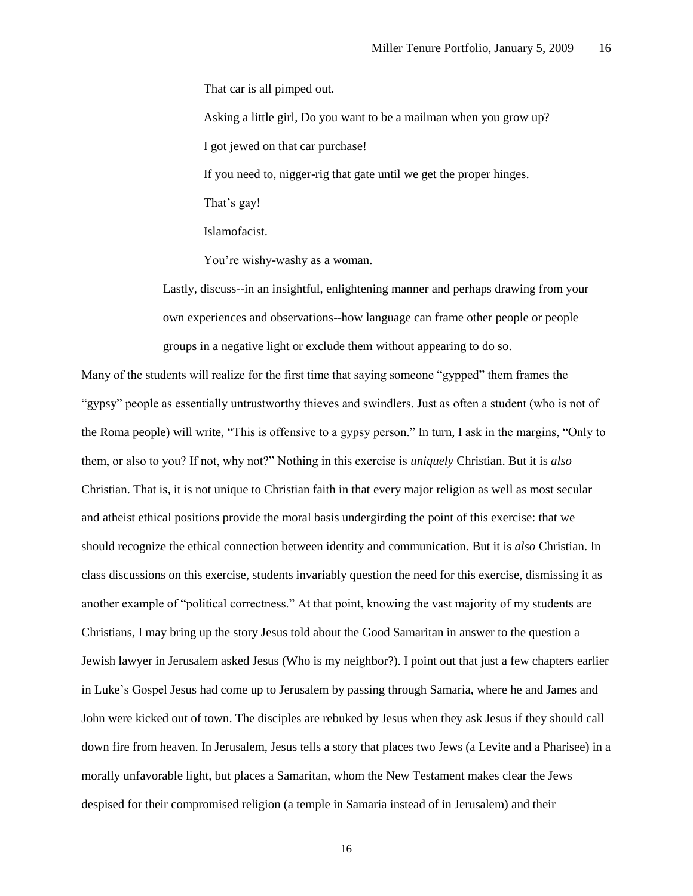That car is all pimped out.

Asking a little girl, Do you want to be a mailman when you grow up?

I got jewed on that car purchase!

If you need to, nigger-rig that gate until we get the proper hinges.

That's gay!

Islamofacist.

You're wishy-washy as a woman.

Lastly, discuss--in an insightful, enlightening manner and perhaps drawing from your own experiences and observations--how language can frame other people or people groups in a negative light or exclude them without appearing to do so.

Many of the students will realize for the first time that saying someone "gypped" them frames the "gypsy" people as essentially untrustworthy thieves and swindlers. Just as often a student (who is not of the Roma people) will write, "This is offensive to a gypsy person." In turn, I ask in the margins, "Only to them, or also to you? If not, why not?" Nothing in this exercise is *uniquely* Christian. But it is *also* Christian. That is, it is not unique to Christian faith in that every major religion as well as most secular and atheist ethical positions provide the moral basis undergirding the point of this exercise: that we should recognize the ethical connection between identity and communication. But it is *also* Christian. In class discussions on this exercise, students invariably question the need for this exercise, dismissing it as another example of "political correctness." At that point, knowing the vast majority of my students are Christians, I may bring up the story Jesus told about the Good Samaritan in answer to the question a Jewish lawyer in Jerusalem asked Jesus (Who is my neighbor?). I point out that just a few chapters earlier in Luke's Gospel Jesus had come up to Jerusalem by passing through Samaria, where he and James and John were kicked out of town. The disciples are rebuked by Jesus when they ask Jesus if they should call down fire from heaven. In Jerusalem, Jesus tells a story that places two Jews (a Levite and a Pharisee) in a morally unfavorable light, but places a Samaritan, whom the New Testament makes clear the Jews despised for their compromised religion (a temple in Samaria instead of in Jerusalem) and their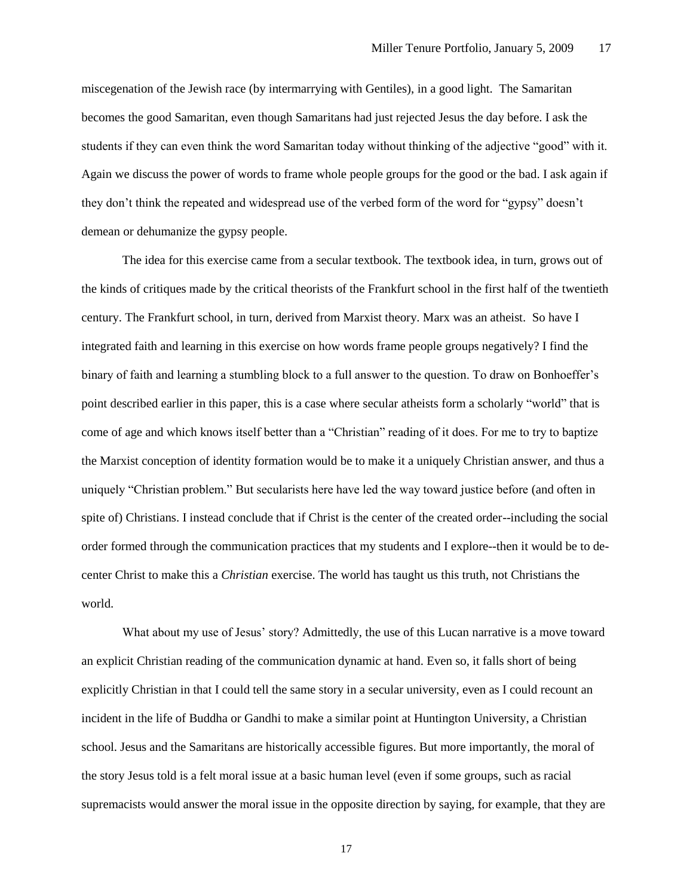miscegenation of the Jewish race (by intermarrying with Gentiles), in a good light. The Samaritan becomes the good Samaritan, even though Samaritans had just rejected Jesus the day before. I ask the students if they can even think the word Samaritan today without thinking of the adjective "good" with it. Again we discuss the power of words to frame whole people groups for the good or the bad. I ask again if they don't think the repeated and widespread use of the verbed form of the word for "gypsy" doesn't demean or dehumanize the gypsy people.

The idea for this exercise came from a secular textbook. The textbook idea, in turn, grows out of the kinds of critiques made by the critical theorists of the Frankfurt school in the first half of the twentieth century. The Frankfurt school, in turn, derived from Marxist theory. Marx was an atheist. So have I integrated faith and learning in this exercise on how words frame people groups negatively? I find the binary of faith and learning a stumbling block to a full answer to the question. To draw on Bonhoeffer's point described earlier in this paper, this is a case where secular atheists form a scholarly "world" that is come of age and which knows itself better than a "Christian" reading of it does. For me to try to baptize the Marxist conception of identity formation would be to make it a uniquely Christian answer, and thus a uniquely "Christian problem." But secularists here have led the way toward justice before (and often in spite of) Christians. I instead conclude that if Christ is the center of the created order--including the social order formed through the communication practices that my students and I explore--then it would be to decenter Christ to make this a *Christian* exercise. The world has taught us this truth, not Christians the world.

What about my use of Jesus' story? Admittedly, the use of this Lucan narrative is a move toward an explicit Christian reading of the communication dynamic at hand. Even so, it falls short of being explicitly Christian in that I could tell the same story in a secular university, even as I could recount an incident in the life of Buddha or Gandhi to make a similar point at Huntington University, a Christian school. Jesus and the Samaritans are historically accessible figures. But more importantly, the moral of the story Jesus told is a felt moral issue at a basic human level (even if some groups, such as racial supremacists would answer the moral issue in the opposite direction by saying, for example, that they are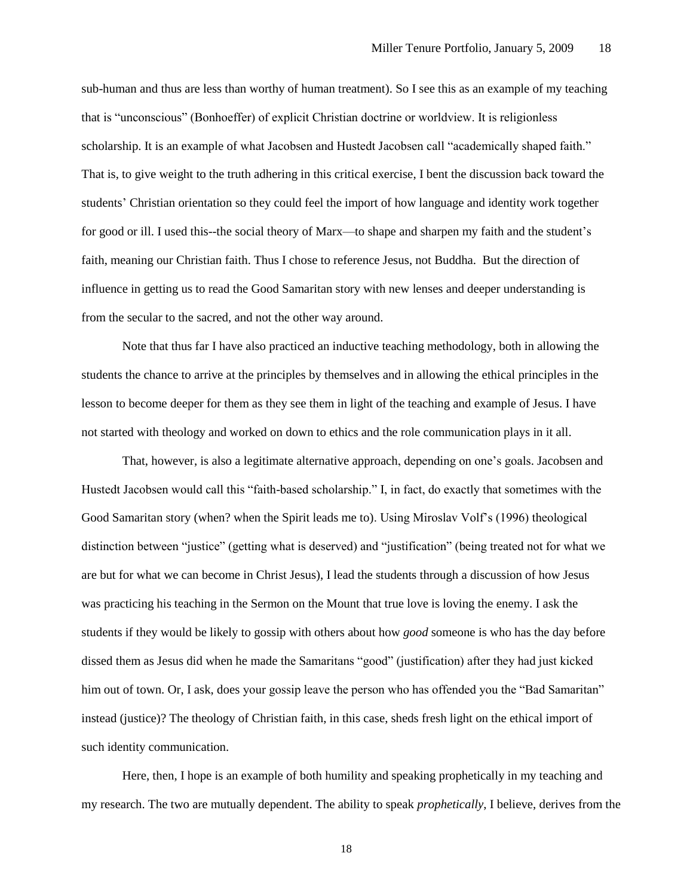sub-human and thus are less than worthy of human treatment). So I see this as an example of my teaching that is "unconscious" (Bonhoeffer) of explicit Christian doctrine or worldview. It is religionless scholarship. It is an example of what Jacobsen and Hustedt Jacobsen call "academically shaped faith." That is, to give weight to the truth adhering in this critical exercise, I bent the discussion back toward the students' Christian orientation so they could feel the import of how language and identity work together for good or ill. I used this--the social theory of Marx—to shape and sharpen my faith and the student's faith, meaning our Christian faith. Thus I chose to reference Jesus, not Buddha. But the direction of influence in getting us to read the Good Samaritan story with new lenses and deeper understanding is from the secular to the sacred, and not the other way around.

Note that thus far I have also practiced an inductive teaching methodology, both in allowing the students the chance to arrive at the principles by themselves and in allowing the ethical principles in the lesson to become deeper for them as they see them in light of the teaching and example of Jesus. I have not started with theology and worked on down to ethics and the role communication plays in it all.

That, however, is also a legitimate alternative approach, depending on one's goals. Jacobsen and Hustedt Jacobsen would call this "faith-based scholarship." I, in fact, do exactly that sometimes with the Good Samaritan story (when? when the Spirit leads me to). Using Miroslav Volf's (1996) theological distinction between "justice" (getting what is deserved) and "justification" (being treated not for what we are but for what we can become in Christ Jesus), I lead the students through a discussion of how Jesus was practicing his teaching in the Sermon on the Mount that true love is loving the enemy. I ask the students if they would be likely to gossip with others about how *good* someone is who has the day before dissed them as Jesus did when he made the Samaritans "good" (justification) after they had just kicked him out of town. Or, I ask, does your gossip leave the person who has offended you the "Bad Samaritan" instead (justice)? The theology of Christian faith, in this case, sheds fresh light on the ethical import of such identity communication.

Here, then, I hope is an example of both humility and speaking prophetically in my teaching and my research. The two are mutually dependent. The ability to speak *prophetically*, I believe, derives from the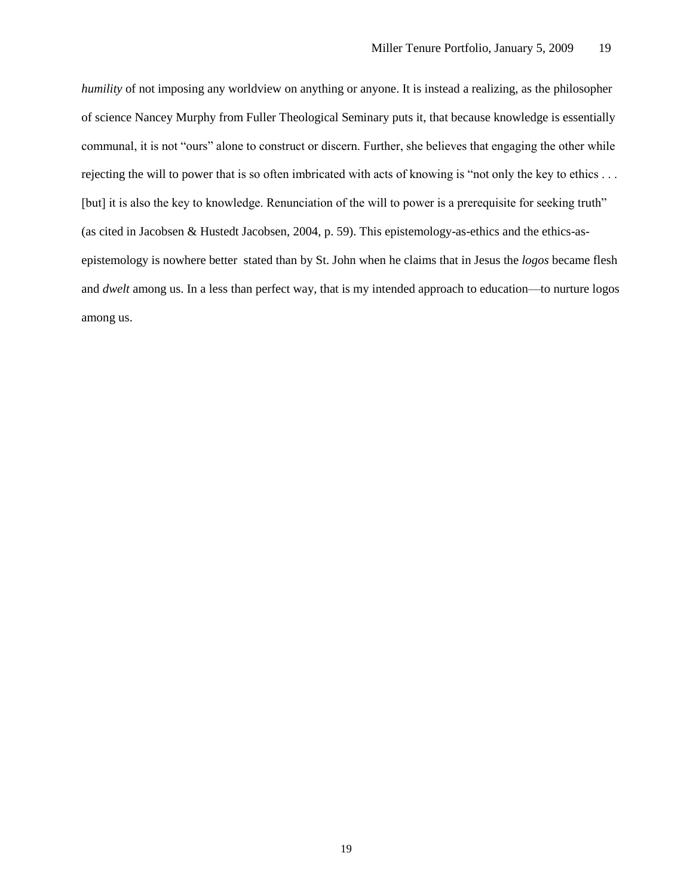*humility* of not imposing any worldview on anything or anyone. It is instead a realizing, as the philosopher of science Nancey Murphy from Fuller Theological Seminary puts it, that because knowledge is essentially communal, it is not "ours" alone to construct or discern. Further, she believes that engaging the other while rejecting the will to power that is so often imbricated with acts of knowing is "not only the key to ethics . . . [but] it is also the key to knowledge. Renunciation of the will to power is a prerequisite for seeking truth" (as cited in Jacobsen & Hustedt Jacobsen, 2004, p. 59). This epistemology-as-ethics and the ethics-asepistemology is nowhere better stated than by St. John when he claims that in Jesus the *logos* became flesh and *dwelt* among us. In a less than perfect way, that is my intended approach to education—to nurture logos among us.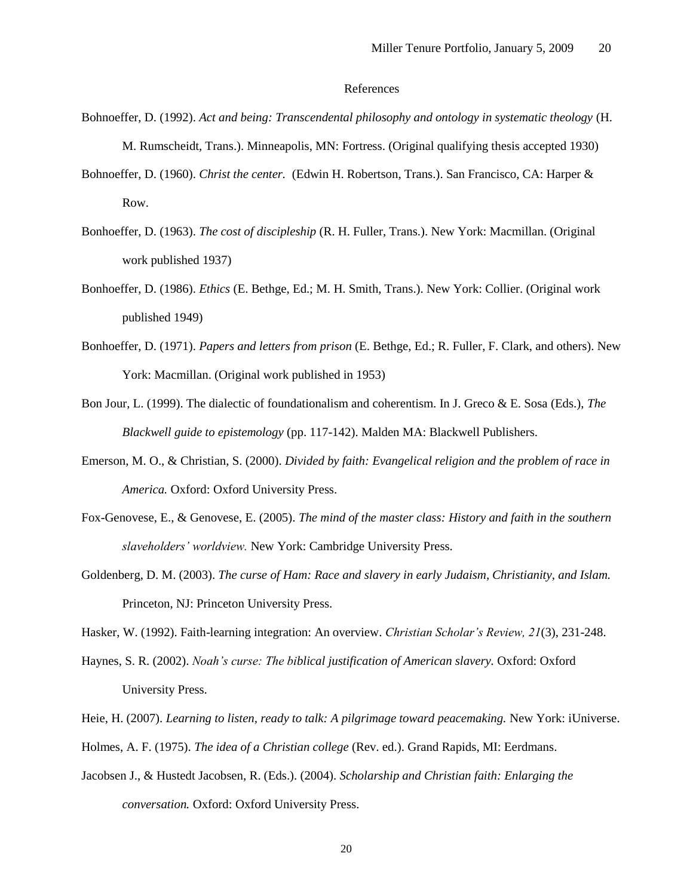# References

- Bohnoeffer, D. (1992). *Act and being: Transcendental philosophy and ontology in systematic theology* (H. M. Rumscheidt, Trans.). Minneapolis, MN: Fortress. (Original qualifying thesis accepted 1930)
- Bohnoeffer, D. (1960). *Christ the center.* (Edwin H. Robertson, Trans.). San Francisco, CA: Harper & Row.
- Bonhoeffer, D. (1963). *The cost of discipleship* (R. H. Fuller, Trans.). New York: Macmillan. (Original work published 1937)
- Bonhoeffer, D. (1986). *Ethics* (E. Bethge, Ed.; M. H. Smith, Trans.). New York: Collier. (Original work published 1949)
- Bonhoeffer, D. (1971). *Papers and letters from prison* (E. Bethge, Ed.; R. Fuller, F. Clark, and others). New York: Macmillan. (Original work published in 1953)
- Bon Jour, L. (1999). The dialectic of foundationalism and coherentism. In J. Greco & E. Sosa (Eds.), *The Blackwell guide to epistemology* (pp. 117-142). Malden MA: Blackwell Publishers.
- Emerson, M. O., & Christian, S. (2000). *Divided by faith: Evangelical religion and the problem of race in America.* Oxford: Oxford University Press.
- Fox-Genovese, E., & Genovese, E. (2005). *The mind of the master class: History and faith in the southern slaveholders' worldview.* New York: Cambridge University Press.
- Goldenberg, D. M. (2003). *The curse of Ham: Race and slavery in early Judaism, Christianity, and Islam.* Princeton, NJ: Princeton University Press.
- Hasker, W. (1992). Faith-learning integration: An overview. *Christian Scholar's Review, 21*(3), 231-248.
- Haynes, S. R. (2002). *Noah's curse: The biblical justification of American slavery.* Oxford: Oxford University Press.
- Heie, H. (2007). *Learning to listen, ready to talk: A pilgrimage toward peacemaking.* New York: iUniverse.
- Holmes, A. F. (1975). *The idea of a Christian college* (Rev. ed.). Grand Rapids, MI: Eerdmans.
- Jacobsen J., & Hustedt Jacobsen, R. (Eds.). (2004). *Scholarship and Christian faith: Enlarging the conversation.* Oxford: Oxford University Press.